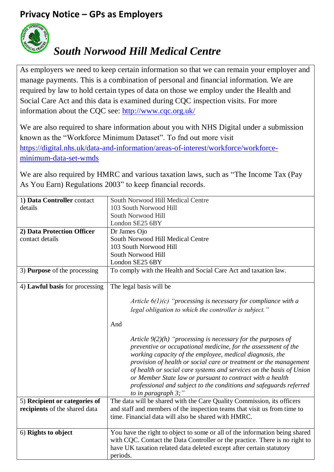## **Privacy Notice – GPs as Employers**



## *South Norwood Hill Medical Centre*

As employers we need to keep certain information so that we can remain your employer and manage payments. This is a combination of personal and financial information. We are required by law to hold certain types of data on those we employ under the Health and Social Care Act and this data is examined during CQC inspection visits. For more information about the CQC see:<http://www.cqc.org.uk/>

We are also required to share information about you with NHS Digital under a submission known as the "Workforce Minimum Dataset". To fnd out more visit [https://digital.nhs.uk/data-and-information/areas-of-interest/workforce/workforce](https://digital.nhs.uk/data-and-information/areas-of-interest/workforce/workforce-minimum-data-set-wmds)[minimum-data-set-wmds](https://digital.nhs.uk/data-and-information/areas-of-interest/workforce/workforce-minimum-data-set-wmds)

We are also required by HMRC and various taxation laws, such as "The Income Tax (Pay As You Earn) Regulations 2003" to keep financial records.

| 1) Data Controller contact                                     | South Norwood Hill Medical Centre                                                                                                                                                                                                                                                                                                                                                                                                                                                                     |
|----------------------------------------------------------------|-------------------------------------------------------------------------------------------------------------------------------------------------------------------------------------------------------------------------------------------------------------------------------------------------------------------------------------------------------------------------------------------------------------------------------------------------------------------------------------------------------|
| details                                                        | 103 South Norwood Hill                                                                                                                                                                                                                                                                                                                                                                                                                                                                                |
|                                                                | South Norwood Hill                                                                                                                                                                                                                                                                                                                                                                                                                                                                                    |
|                                                                | London SE25 6BY                                                                                                                                                                                                                                                                                                                                                                                                                                                                                       |
| 2) Data Protection Officer                                     | Dr James Ojo                                                                                                                                                                                                                                                                                                                                                                                                                                                                                          |
| contact details                                                | South Norwood Hill Medical Centre                                                                                                                                                                                                                                                                                                                                                                                                                                                                     |
|                                                                | 103 South Norwood Hill                                                                                                                                                                                                                                                                                                                                                                                                                                                                                |
|                                                                | South Norwood Hill                                                                                                                                                                                                                                                                                                                                                                                                                                                                                    |
|                                                                | London SE25 6BY                                                                                                                                                                                                                                                                                                                                                                                                                                                                                       |
| 3) <b>Purpose</b> of the processing                            | To comply with the Health and Social Care Act and taxation law.                                                                                                                                                                                                                                                                                                                                                                                                                                       |
| 4) Lawful basis for processing                                 | The legal basis will be                                                                                                                                                                                                                                                                                                                                                                                                                                                                               |
|                                                                | Article $6(1)(c)$ "processing is necessary for compliance with a<br>legal obligation to which the controller is subject."                                                                                                                                                                                                                                                                                                                                                                             |
|                                                                | And                                                                                                                                                                                                                                                                                                                                                                                                                                                                                                   |
|                                                                | Article $9(2)(h)$ "processing is necessary for the purposes of<br>preventive or occupational medicine, for the assessment of the<br>working capacity of the employee, medical diagnosis, the<br>provision of health or social care or treatment or the management<br>of health or social care systems and services on the basis of Union<br>or Member State law or pursuant to contract with a health<br>professional and subject to the conditions and safeguards referred<br>to in paragraph $3$ ;" |
| 5) Recipient or categories of<br>recipients of the shared data | The data will be shared with the Care Quality Commission, its officers<br>and staff and members of the inspection teams that visit us from time to<br>time. Financial data will also be shared with HMRC.                                                                                                                                                                                                                                                                                             |
| 6) Rights to object                                            | You have the right to object to some or all of the information being shared<br>with CQC. Contact the Data Controller or the practice. There is no right to<br>have UK taxation related data deleted except after certain statutory<br>periods.                                                                                                                                                                                                                                                        |